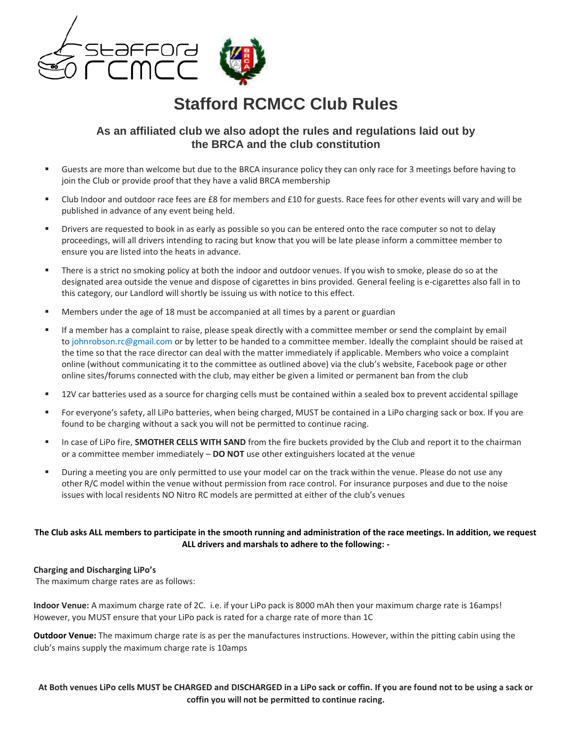

# **Stafford RCMCC Club Rules**

# **As an affiliated club we also adopt the rules and regulations laid out by the BRCA and the club constitution**

- Guests are more than welcome but due to the BRCA insurance policy they can only race for 3 meetings before having to join the Club or provide proof that they have a valid BRCA membership
- Club Indoor and outdoor race fees are £8 for members and £10 for guests. Race fees for other events will vary and will be published in advance of any event being held.
- Drivers are requested to book in as early as possible so you can be entered onto the race computer so not to delay proceedings, will all drivers intending to racing but know that you will be late please inform a committee member to ensure you are listed into the heats in advance.
- There is a strict no smoking policy at both the indoor and outdoor venues. If you wish to smoke, please do so at the designated area outside the venue and dispose of cigarettes in bins provided. General feeling is e-cigarettes also fall in to this category, our Landlord will shortly be issuing us with notice to this effect.
- Members under the age of 18 must be accompanied at all times by a parent or guardian
- If a member has a complaint to raise, please speak directly with a committee member or send the complaint by email to johnrobson.rc@gmail.com or by letter to be handed to a committee member. Ideally the complaint should be raised at the time so that the race director can deal with the matter immediately if applicable. Members who voice a complaint online (without communicating it to the committee as outlined above) via the club's website, Facebook page or other online sites/forums connected with the club, may either be given a limited or permanent ban from the club
- 12V car batteries used as a source for charging cells must be contained within a sealed box to prevent accidental spillage
- For everyone's safety, all LiPo batteries, when being charged, MUST be contained in a LiPo charging sack or box. If you are found to be charging without a sack you will not be permitted to continue racing.
- In case of LiPo fire, SMOTHER CELLS WITH SAND from the fire buckets provided by the Club and report it to the chairman or a committee member immediately – **DO NOT** use other extinguishers located at the venue
- During a meeting you are only permitted to use your model car on the track within the venue. Please do not use any other R/C model within the venue without permission from race control. For insurance purposes and due to the noise issues with local residents NO Nitro RC models are permitted at either of the club's venues

# **The Club asks ALL members to participate in the smooth running and administration of the race meetings. In addition, we request ALL drivers and marshals to adhere to the following: -**

#### **Charging and Discharging LiPo's**

The maximum charge rates are as follows:

**Indoor Venue:** A maximum charge rate of 2C. i.e. if your LiPo pack is 8000 mAh then your maximum charge rate is 16amps! However, you MUST ensure that your LiPo pack is rated for a charge rate of more than 1C

**Outdoor Venue:** The maximum charge rate is as per the manufactures instructions. However, within the pitting cabin using the club's mains supply the maximum charge rate is 10amps

**At Both venues LiPo cells MUST be CHARGED and DISCHARGED in a LiPo sack or coffin. If you are found not to be using a sack or coffin you will not be permitted to continue racing.**